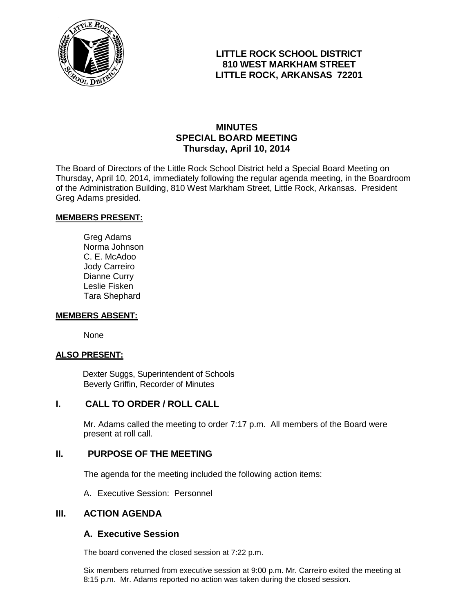

# **LITTLE ROCK SCHOOL DISTRICT 810 WEST MARKHAM STREET LITTLE ROCK, ARKANSAS 72201**

### **MINUTES SPECIAL BOARD MEETING Thursday, April 10, 2014**

The Board of Directors of the Little Rock School District held a Special Board Meeting on Thursday, April 10, 2014, immediately following the regular agenda meeting, in the Boardroom of the Administration Building, 810 West Markham Street, Little Rock, Arkansas. President Greg Adams presided.

#### **MEMBERS PRESENT:**

Greg Adams Norma Johnson C. E. McAdoo Jody Carreiro Dianne Curry Leslie Fisken Tara Shephard

#### **MEMBERS ABSENT:**

None

### **ALSO PRESENT:**

 Dexter Suggs, Superintendent of Schools Beverly Griffin, Recorder of Minutes

### **I. CALL TO ORDER / ROLL CALL**

Mr. Adams called the meeting to order 7:17 p.m. All members of the Board were present at roll call.

### **II. PURPOSE OF THE MEETING**

The agenda for the meeting included the following action items:

A. Executive Session: Personnel

### **III. ACTION AGENDA**

### **A. Executive Session**

The board convened the closed session at 7:22 p.m.

Six members returned from executive session at 9:00 p.m. Mr. Carreiro exited the meeting at 8:15 p.m. Mr. Adams reported no action was taken during the closed session.